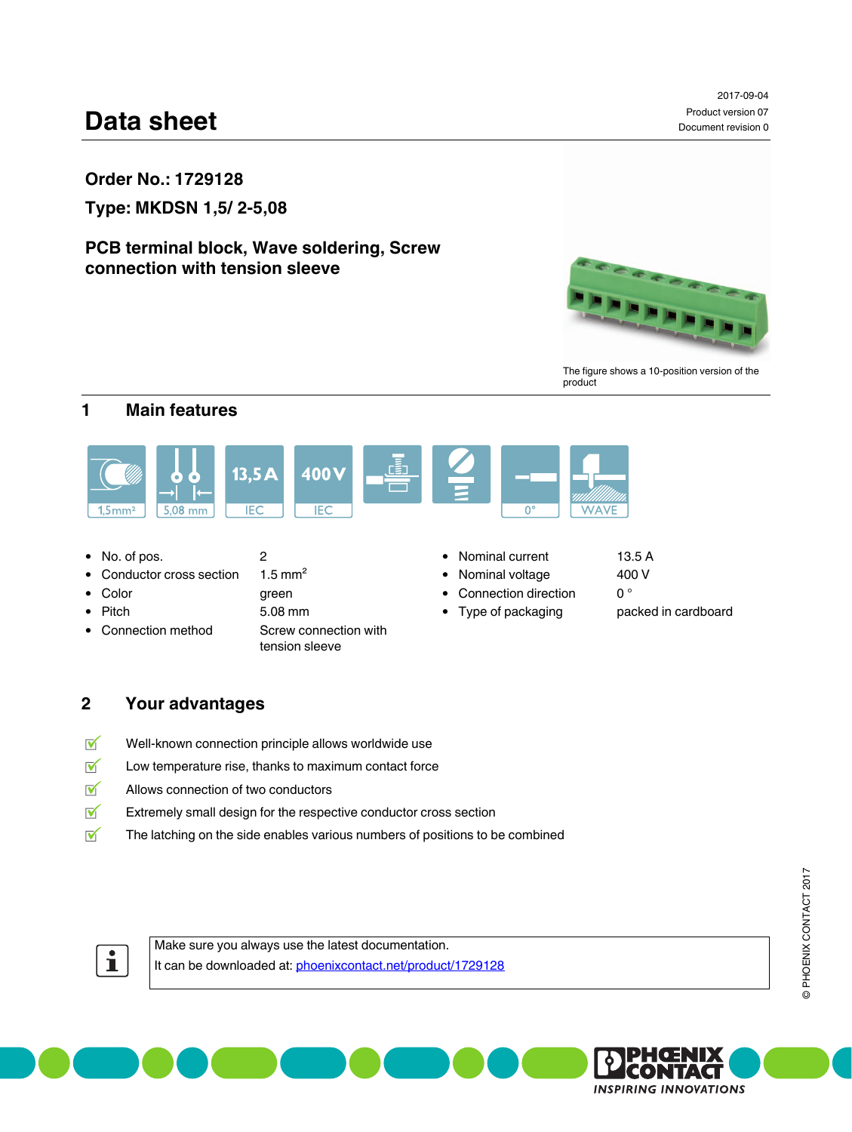# **Data sheet**

**Type: MKDSN 1,5/ 2-5,08**

# **PCB terminal block, Wave soldering, Screw connection with tension sleeve**



2017-09-04 Product version 07

Document revision 0

The figure shows a 10-position version of the product

# <span id="page-0-0"></span>**1 Main features**



- 
- Conductor cross section  $1.5 \text{ mm}^2$  Nominal voltage 400 V
- 
- 
- Connection method Screw connection with
- Pitch 5.08 mm 5.08 mm Type of packaging packed in cardboard tension sleeve

- 
- Color **green connection** direction **o** °
	-
- 
- -

# <span id="page-0-1"></span>**2 Your advantages**

- $\overline{\mathsf{M}}$ Well-known connection principle allows worldwide use
- $\overline{\mathsf{M}}$ Low temperature rise, thanks to maximum contact force
- $\overline{\mathbf{v}}$ Allows connection of two conductors
- $\overline{\mathsf{M}}$ Extremely small design for the respective conductor cross section
- $\overline{\mathsf{M}}$ The latching on the side enables various numbers of positions to be combined



Make sure you always use the latest documentation. It can be downloaded at: [phoenixcontact.net/product/1729128](http://phoenixcontact.net/product/1729128)



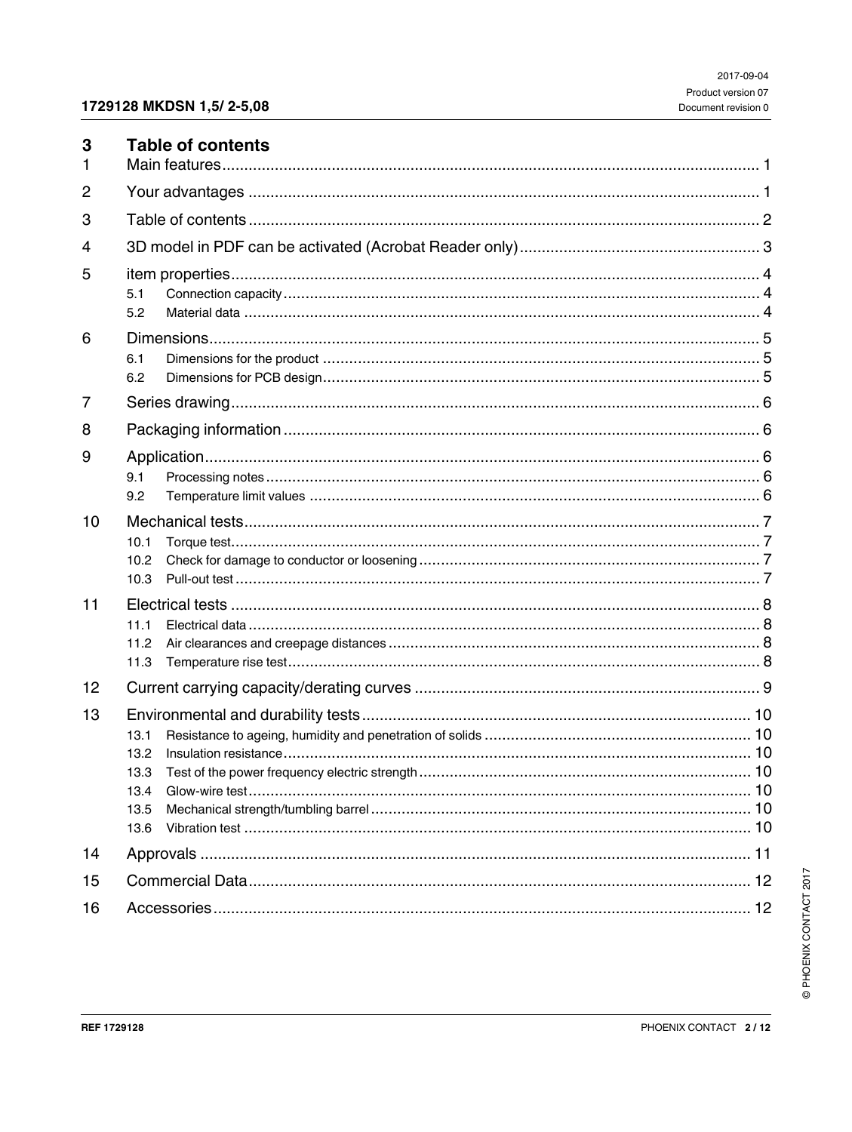<span id="page-1-0"></span>

| 3<br>1 | <b>Table of contents</b>             |
|--------|--------------------------------------|
| 2      |                                      |
| 3      |                                      |
| 4      |                                      |
| 5      | 5.1<br>5.2                           |
| 6      | 6.1<br>6.2                           |
| 7      |                                      |
| 8      |                                      |
| 9      | 9.1<br>9.2                           |
| 10     | 10.1<br>10.2<br>10.3                 |
| 11     | 11.1<br>11.2<br>11.3                 |
| 12     |                                      |
| 13     | 13.1<br>13.2<br>13.4<br>13.5<br>13.6 |
| 14     |                                      |
| 15     |                                      |
| 16     |                                      |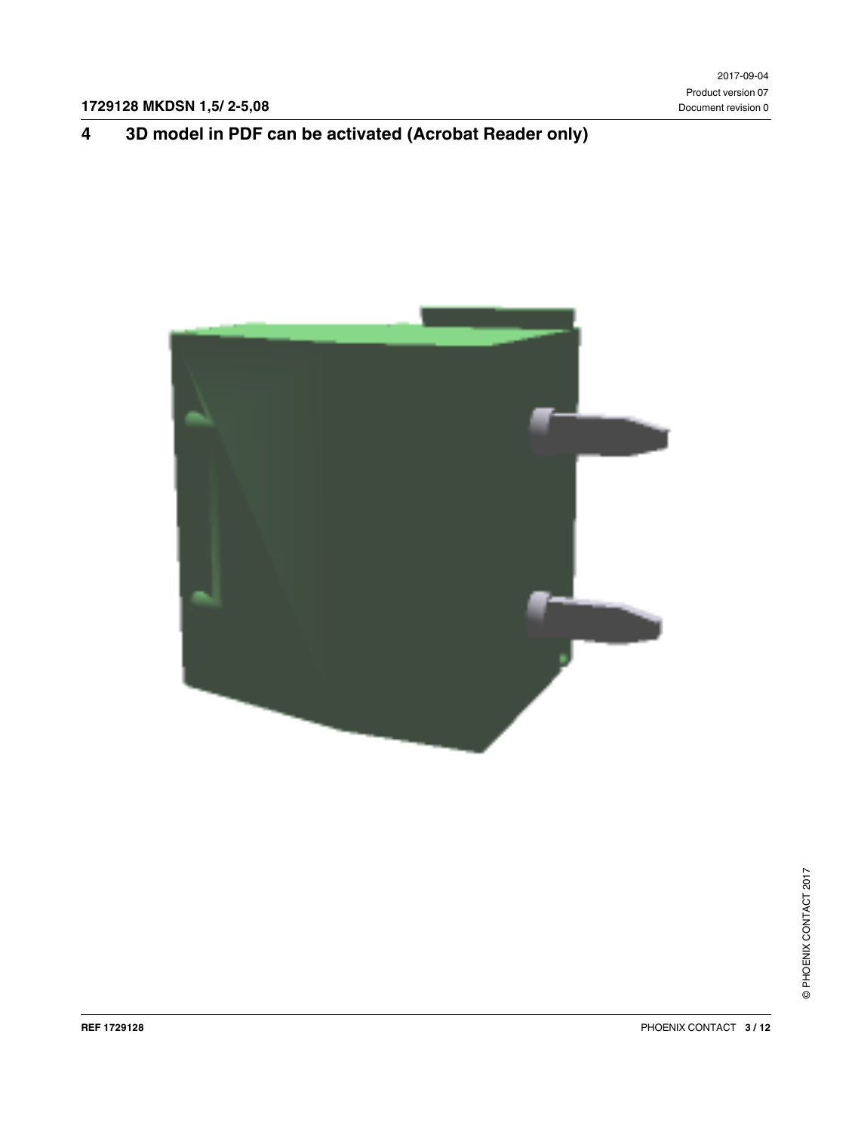# <span id="page-2-0"></span>**4 3D model in PDF can be activated (Acrobat Reader only)**

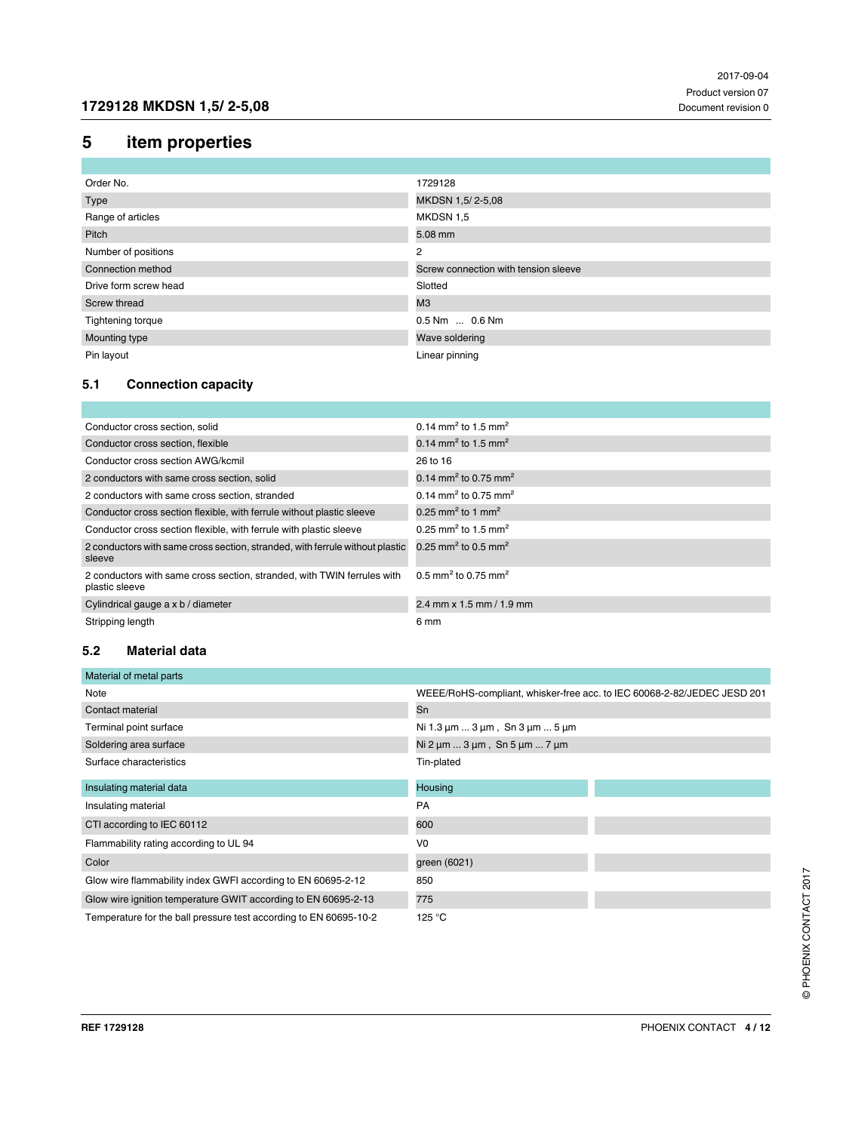# <span id="page-3-0"></span>**5 item properties**

| Order No.             | 1729128                              |
|-----------------------|--------------------------------------|
| Type                  | MKDSN 1,5/2-5,08                     |
| Range of articles     | MKDSN 1,5                            |
| Pitch                 | 5.08 mm                              |
| Number of positions   | 2                                    |
| Connection method     | Screw connection with tension sleeve |
| Drive form screw head | Slotted                              |
| Screw thread          | M3                                   |
| Tightening torque     | 0.5 Nm  0.6 Nm                       |
| Mounting type         | Wave soldering                       |
| Pin layout            | Linear pinning                       |

### <span id="page-3-1"></span>**5.1 Connection capacity**

| Conductor cross section, solid                                                            | 0.14 mm <sup>2</sup> to 1.5 mm <sup>2</sup>  |
|-------------------------------------------------------------------------------------------|----------------------------------------------|
| Conductor cross section, flexible                                                         | 0.14 mm <sup>2</sup> to 1.5 mm <sup>2</sup>  |
| Conductor cross section AWG/kcmil                                                         | 26 to 16                                     |
| 2 conductors with same cross section, solid                                               | 0.14 mm <sup>2</sup> to 0.75 mm <sup>2</sup> |
| 2 conductors with same cross section, stranded                                            | 0.14 mm <sup>2</sup> to 0.75 mm <sup>2</sup> |
| Conductor cross section flexible, with ferrule without plastic sleeve                     | 0.25 mm <sup>2</sup> to 1 mm <sup>2</sup>    |
| Conductor cross section flexible, with ferrule with plastic sleeve                        | 0.25 mm <sup>2</sup> to 1.5 mm <sup>2</sup>  |
| 2 conductors with same cross section, stranded, with ferrule without plastic<br>sleeve    | 0.25 mm <sup>2</sup> to 0.5 mm <sup>2</sup>  |
| 2 conductors with same cross section, stranded, with TWIN ferrules with<br>plastic sleeve | 0.5 mm <sup>2</sup> to 0.75 mm <sup>2</sup>  |
| Cylindrical gauge a x b / diameter                                                        | $2.4$ mm x 1.5 mm / 1.9 mm                   |
| Stripping length                                                                          | 6 mm                                         |

#### <span id="page-3-2"></span>**5.2 Material data**

| Material of metal parts                                           |                                                                         |
|-------------------------------------------------------------------|-------------------------------------------------------------------------|
| Note                                                              | WEEE/RoHS-compliant, whisker-free acc. to IEC 60068-2-82/JEDEC JESD 201 |
| Contact material                                                  | Sn                                                                      |
| Terminal point surface                                            | Ni 1.3 $\mu$ m  3 $\mu$ m, Sn 3 $\mu$ m  5 $\mu$ m                      |
| Soldering area surface                                            | Ni $2 \mu m$ $3 \mu m$ , Sn $5 \mu m$ $7 \mu m$                         |
| Surface characteristics                                           | Tin-plated                                                              |
| Insulating material data                                          | <b>Housing</b>                                                          |
| Insulating material                                               | PA                                                                      |
| CTI according to IEC 60112                                        | 600                                                                     |
| Flammability rating according to UL 94                            | V <sub>0</sub>                                                          |
| Color                                                             | green (6021)                                                            |
| Glow wire flammability index GWFI according to EN 60695-2-12      | 850                                                                     |
| Glow wire ignition temperature GWIT according to EN 60695-2-13    | 775                                                                     |
| Temperature for the ball pressure test according to EN 60695-10-2 | 125 $\degree$ C                                                         |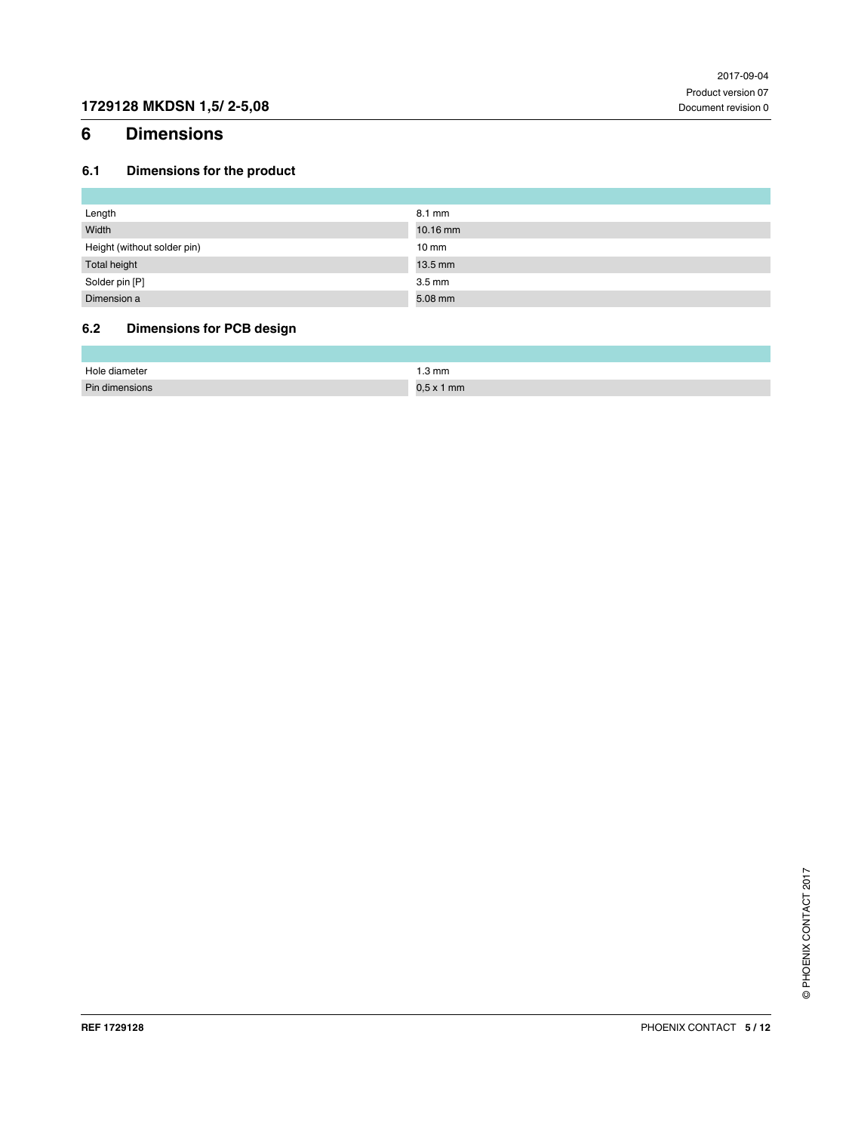# <span id="page-4-0"></span>**6 Dimensions**

### <span id="page-4-1"></span>**6.1 Dimensions for the product**

| Length                      | $8.1 \text{ mm}$ |
|-----------------------------|------------------|
| Width                       | 10.16 mm         |
| Height (without solder pin) | $10 \text{ mm}$  |
| Total height                | $13.5$ mm        |
| Solder pin [P]              | $3.5 \text{ mm}$ |
| Dimension a                 | 5.08 mm          |

### <span id="page-4-2"></span>**6.2 Dimensions for PCB design**

| Hole<br>e diameter | 3 mm |
|--------------------|------|
| Din                | 1 mm |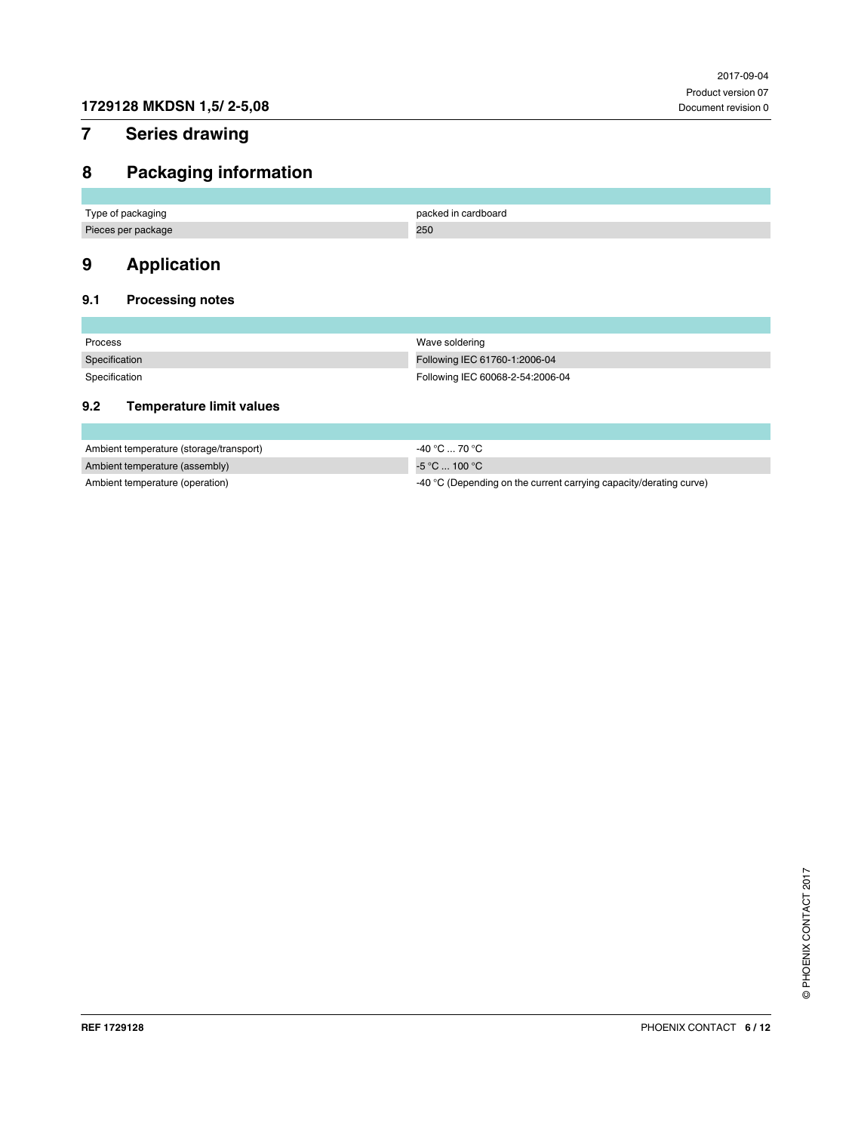# <span id="page-5-0"></span>**7 Series drawing**

# <span id="page-5-1"></span>**8 Packaging information**

| Type of packaging  | packed in cardboard |
|--------------------|---------------------|
| Pieces per package | 250                 |

# <span id="page-5-2"></span>**9 Application**

### <span id="page-5-3"></span>**9.1 Processing notes**

| Process       | Wave soldering                   |
|---------------|----------------------------------|
| Specification | Following IEC 61760-1:2006-04    |
| Specification | Following IEC 60068-2-54:2006-04 |

#### <span id="page-5-4"></span>**9.2 Temperature limit values**

| Ambient temperature (storage/transport) | $-40\,^{\circ}\text{C}$ 70 $^{\circ}\text{C}$                      |
|-----------------------------------------|--------------------------------------------------------------------|
| Ambient temperature (assembly)          | -5 °C  100 °C ⊬                                                    |
| Ambient temperature (operation)         | -40 °C (Depending on the current carrying capacity/derating curve) |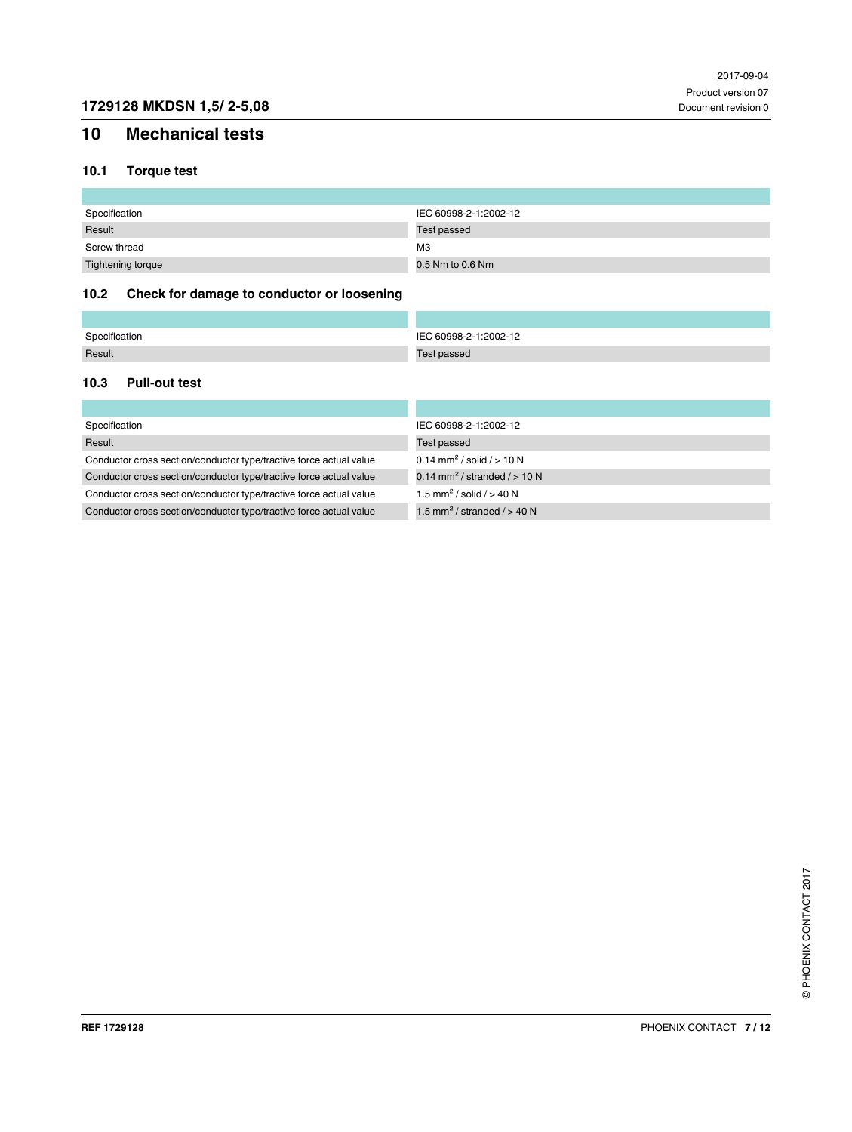# <span id="page-6-0"></span>**10 Mechanical tests**

### <span id="page-6-1"></span>**10.1 Torque test**

| Specification     | IEC 60998-2-1:2002-12 |
|-------------------|-----------------------|
| Result            | Test passed           |
| Screw thread      | M <sub>3</sub>        |
| Tightening torque | 0.5 Nm to 0.6 Nm      |

### <span id="page-6-2"></span>**10.2 Check for damage to conductor or loosening**

| Specification | C 60998-2-1:2002-12 |
|---------------|---------------------|
| Result        | est passed          |

#### <span id="page-6-3"></span>**10.3 Pull-out test**

| Specification                                                      | IEC 60998-2-1:2002-12                      |
|--------------------------------------------------------------------|--------------------------------------------|
| Result                                                             | Test passed                                |
| Conductor cross section/conductor type/tractive force actual value | 0.14 mm <sup>2</sup> / solid / $> 10 N$    |
| Conductor cross section/conductor type/tractive force actual value | 0.14 mm <sup>2</sup> / stranded $/$ > 10 N |
| Conductor cross section/conductor type/tractive force actual value | 1.5 mm <sup>2</sup> / solid / $> 40$ N     |
| Conductor cross section/conductor type/tractive force actual value | 1.5 mm <sup>2</sup> / stranded $/$ > 40 N  |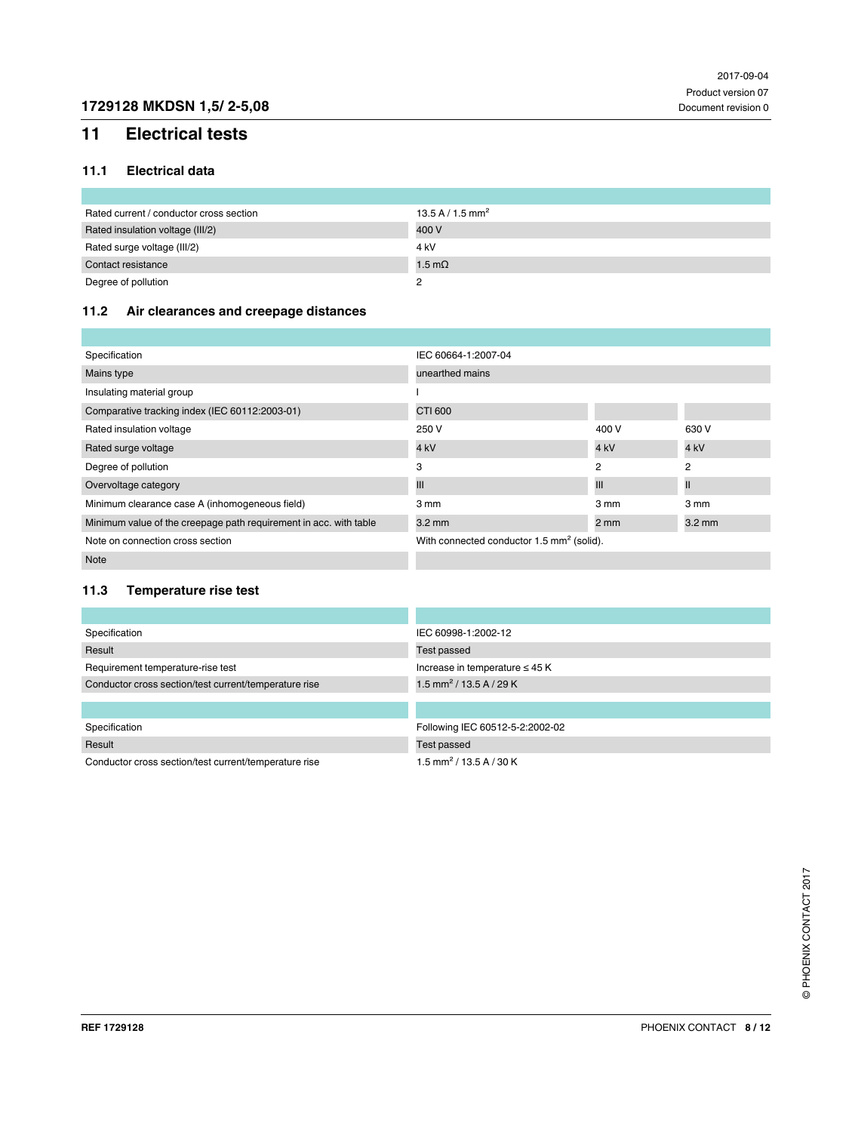# <span id="page-7-0"></span>**11 Electrical tests**

#### <span id="page-7-1"></span>**11.1 Electrical data**

| Rated current / conductor cross section | 13.5 A / 1.5 mm <sup>2</sup> |
|-----------------------------------------|------------------------------|
| Rated insulation voltage (III/2)        | 400 V                        |
| Rated surge voltage (III/2)             | 4 kV                         |
| Contact resistance                      | 1.5 m $\Omega$               |
| Degree of pollution                     |                              |

### <span id="page-7-2"></span>**11.2 Air clearances and creepage distances**

| Specification                                                     | IEC 60664-1:2007-04                                   |                  |                  |  |
|-------------------------------------------------------------------|-------------------------------------------------------|------------------|------------------|--|
| Mains type                                                        | unearthed mains                                       |                  |                  |  |
| Insulating material group                                         |                                                       |                  |                  |  |
| Comparative tracking index (IEC 60112:2003-01)                    | CTI 600                                               |                  |                  |  |
| Rated insulation voltage                                          | 250 V                                                 | 400 V            | 630 V            |  |
| Rated surge voltage                                               | 4 <sub>kV</sub>                                       | 4 <sub>kV</sub>  | 4 <sub>kV</sub>  |  |
| Degree of pollution                                               | 3                                                     | 2                | $\overline{2}$   |  |
| Overvoltage category                                              | Ш                                                     | Ш                | $\mathsf{I}$     |  |
| Minimum clearance case A (inhomogeneous field)                    | 3 mm                                                  | $3 \, \text{mm}$ | 3 mm             |  |
| Minimum value of the creepage path requirement in acc. with table | $3.2 \text{ mm}$                                      | $2 \text{ mm}$   | $3.2 \text{ mm}$ |  |
| Note on connection cross section                                  | With connected conductor 1.5 mm <sup>2</sup> (solid). |                  |                  |  |
| <b>Note</b>                                                       |                                                       |                  |                  |  |

#### <span id="page-7-3"></span>**11.3 Temperature rise test**

| Specification                                         | IEC 60998-1:2002-12                   |
|-------------------------------------------------------|---------------------------------------|
| Result                                                | Test passed                           |
| Requirement temperature-rise test                     | Increase in temperature $\leq$ 45 K   |
| Conductor cross section/test current/temperature rise | 1.5 mm <sup>2</sup> / 13.5 A / 29 K   |
|                                                       |                                       |
|                                                       |                                       |
| Specification                                         | Following IEC 60512-5-2:2002-02       |
| Result                                                | Test passed                           |
| Conductor cross section/test current/temperature rise | $1.5$ mm <sup>2</sup> / 13.5 A / 30 K |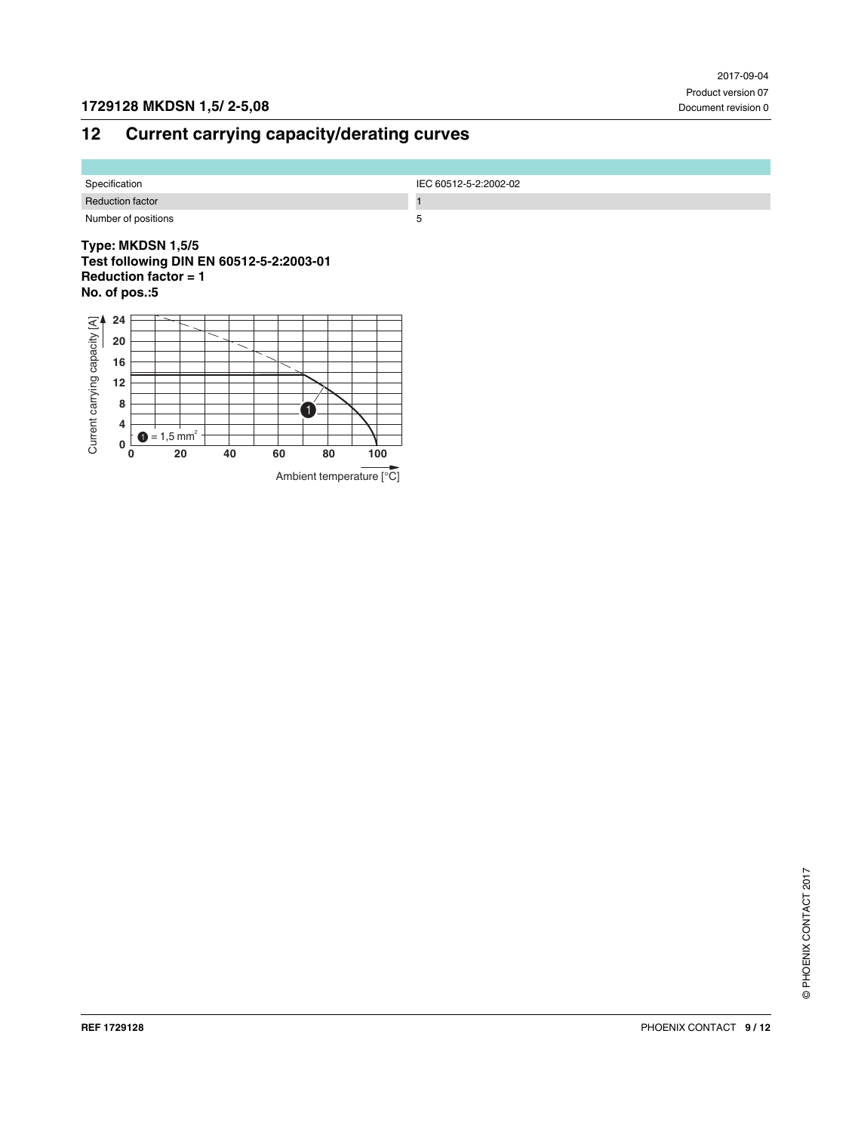# <span id="page-8-0"></span>**12 Current carrying capacity/derating curves**

| Specification           | IEC 60512-5-2:2002-02 |
|-------------------------|-----------------------|
| <b>Reduction factor</b> |                       |
| Number of positions     |                       |

#### **Type: MKDSN 1,5/5 Test following DIN EN 60512-5-2:2003-01 Reduction factor = 1 No. of pos.:5**

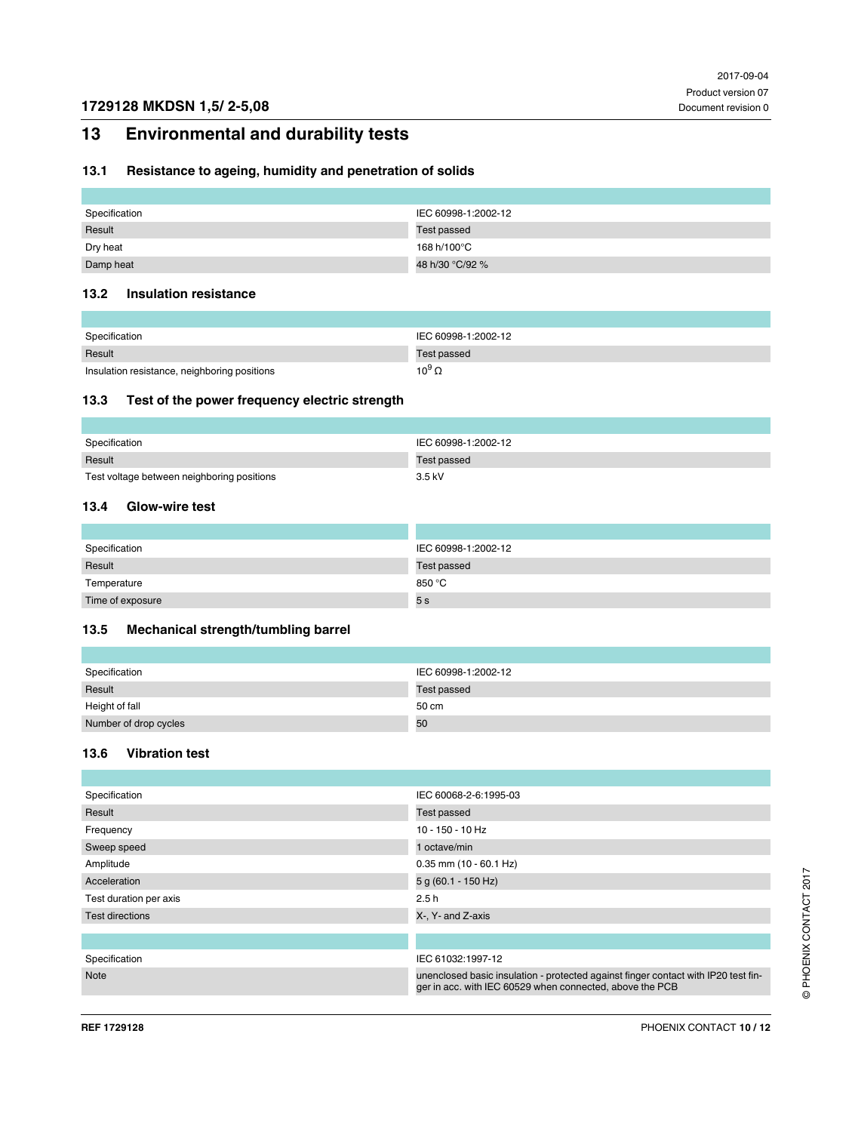# <span id="page-9-0"></span>**13 Environmental and durability tests**

### <span id="page-9-1"></span>**13.1 Resistance to ageing, humidity and penetration of solids**

| Specification | IEC 60998-1:2002-12 |
|---------------|---------------------|
| Result        | Test passed         |
| Dry heat      | 168 h/100°C         |
| Damp heat     | 48 h/30 °C/92 %     |

#### <span id="page-9-2"></span>**13.2 Insulation resistance**

| Specification                                | IEC 60998-1:2002-12 |
|----------------------------------------------|---------------------|
| Result                                       | Test passed         |
| Insulation resistance, neighboring positions | 10 $^9$ Ω           |

#### <span id="page-9-3"></span>**13.3 Test of the power frequency electric strength**

| Specification                              | IEC 60998-1:2002-12 |
|--------------------------------------------|---------------------|
| Result                                     | Test passed         |
| Test voltage between neighboring positions | $3.5$ kV            |

#### <span id="page-9-4"></span>**13.4 Glow-wire test**

| Specification    | IEC 60998-1:2002-12 |
|------------------|---------------------|
| Result           | Test passed         |
| Temperature      | 850 °C              |
| Time of exposure | 5 s                 |

#### <span id="page-9-5"></span>**13.5 Mechanical strength/tumbling barrel**

| Specification         | IEC 60998-1:2002-12 |
|-----------------------|---------------------|
| Result                | Test passed         |
| Height of fall        | 50 cm               |
| Number of drop cycles | 50                  |

#### <span id="page-9-6"></span>**13.6 Vibration test**

| IEC 60068-2-6:1995-03                                                                                                                          |  |  |  |
|------------------------------------------------------------------------------------------------------------------------------------------------|--|--|--|
| Test passed                                                                                                                                    |  |  |  |
| $10 - 150 - 10$ Hz                                                                                                                             |  |  |  |
| 1 octave/min                                                                                                                                   |  |  |  |
| $0.35$ mm (10 - 60.1 Hz)                                                                                                                       |  |  |  |
| 5 g (60.1 - 150 Hz)                                                                                                                            |  |  |  |
| 2.5h                                                                                                                                           |  |  |  |
| X-, Y- and Z-axis                                                                                                                              |  |  |  |
|                                                                                                                                                |  |  |  |
|                                                                                                                                                |  |  |  |
| IEC 61032:1997-12                                                                                                                              |  |  |  |
| unenclosed basic insulation - protected against finger contact with IP20 test fin-<br>ger in acc. with IEC 60529 when connected, above the PCB |  |  |  |
|                                                                                                                                                |  |  |  |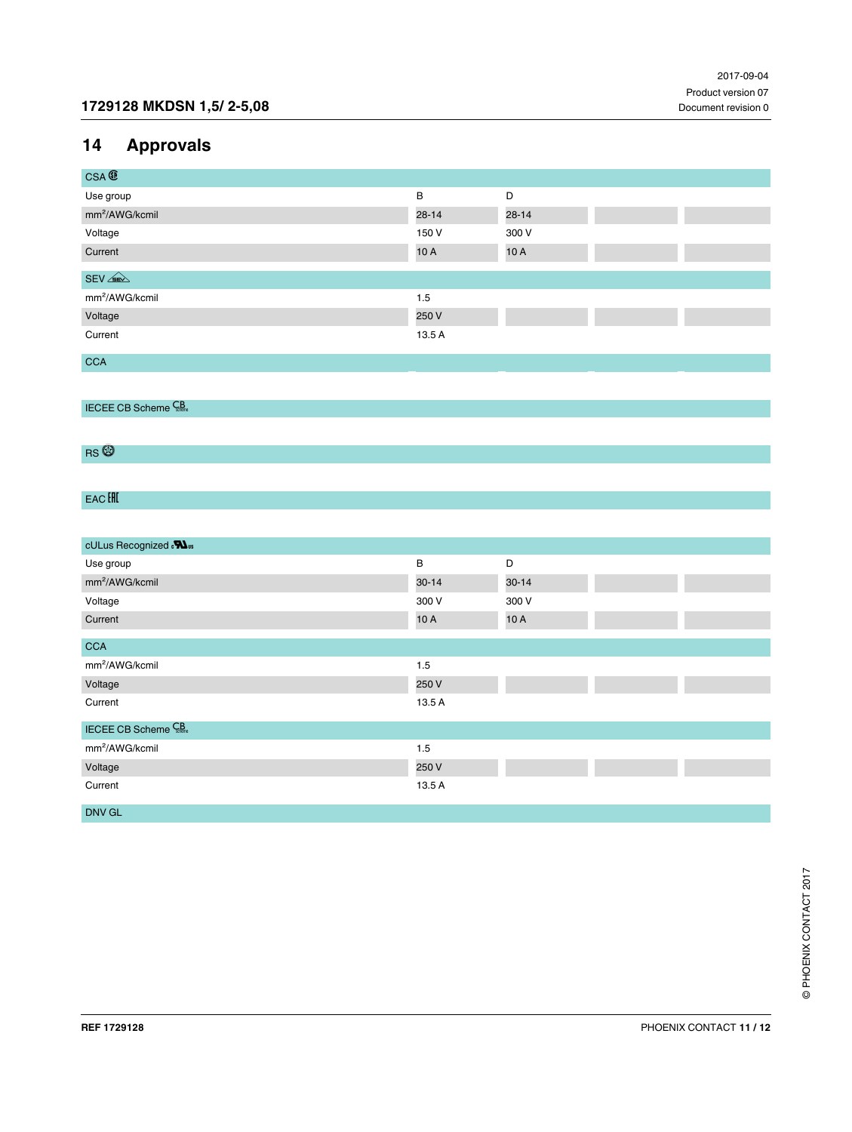# <span id="page-10-0"></span>**14 Approvals**

| $CSA \times$               |           |           |  |
|----------------------------|-----------|-----------|--|
| Use group                  | B         | D         |  |
| mm <sup>2</sup> /AWG/kcmil | $28 - 14$ | $28 - 14$ |  |
| Voltage                    | 150 V     | 300 V     |  |
| Current                    | 10 A      | 10A       |  |
|                            |           |           |  |
| $SEV \n\leq R$             |           |           |  |
| mm <sup>2</sup> /AWG/kcmil | 1.5       |           |  |
| Voltage                    | 250 V     |           |  |
| Current                    | 13.5 A    |           |  |
|                            |           |           |  |
| <b>CCA</b>                 |           |           |  |

IECEE CB Scheme CB

RS<sup>®</sup>

# EAC HI

| cULus Recognized . <sup>51</sup> |           |           |
|----------------------------------|-----------|-----------|
| Use group                        | B         | D         |
| mm <sup>2</sup> /AWG/kcmil       | $30 - 14$ | $30 - 14$ |
| Voltage                          | 300 V     | 300 V     |
| Current                          | 10A       | 10A       |
| <b>CCA</b>                       |           |           |
|                                  |           |           |
| mm <sup>2</sup> /AWG/kcmil       | 1.5       |           |
| Voltage                          | 250 V     |           |
| Current                          | 13.5 A    |           |
| <b>IECEE CB Scheme</b> CB        |           |           |
| mm <sup>2</sup> /AWG/kcmil       | 1.5       |           |
| Voltage                          | 250 V     |           |
| Current                          | 13.5 A    |           |
| DNV GL                           |           |           |